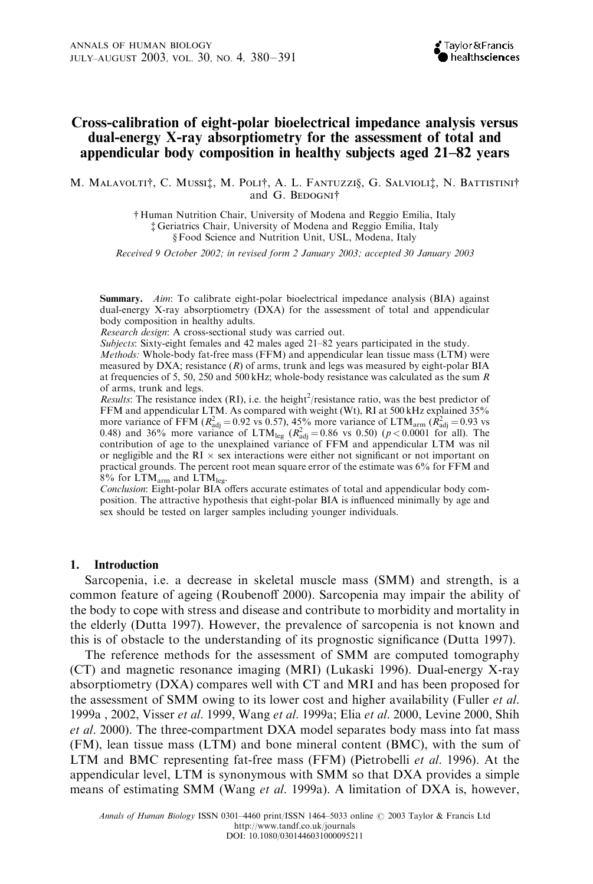# Cross-calibration of eight-polar bioelectrical impedance analysis versus dual-energy X-ray absorptiometry for the assessment of total and appendicular body composition in healthy subjects aged 21–82 years

M. MALAVOLTI<sup>†</sup>, C. MUSSI<sup>†</sup>, M. POLI<sup>†</sup>, A. L. FANTUZZI§, G. SALVIOLI<sup>†</sup>, N. BATTISTINI<sup>†</sup> and G. BEDOGNI<sup>+</sup>

> { Human Nutrition Chair, University of Modena and Reggio Emilia, Italy { Geriatrics Chair, University of Modena and Reggio Emilia, Italy § Food Science and Nutrition Unit, USL, Modena, Italy

Received 9 October 2002; in revised form 2 January 2003; accepted 30 January 2003

Summary. Aim: To calibrate eight-polar bioelectrical impedance analysis (BIA) against dual-energy X-ray absorptiometry (DXA) for the assessment of total and appendicular body composition in healthy adults.

Research design: A cross-sectional study was carried out.

Subjects: Sixty-eight females and 42 males aged 21–82 years participated in the study.

Methods: Whole-body fat-free mass (FFM) and appendicular lean tissue mass (LTM) were measured by DXA; resistance  $(R)$  of arms, trunk and legs was measured by eight-polar BIA at frequencies of 5, 50, 250 and 500 kHz; whole-body resistance was calculated as the sum  $R$ of arms, trunk and legs.

Results: The resistance index (RI), i.e. the height<sup>2</sup>/resistance ratio, was the best predictor of FFM and appendicular LTM. As compared with weight (Wt), RI at 500 kHz explained 35% more variance of FFM  $(R_{\text{adj}}^2 = 0.92 \text{ vs } 0.57)$ , 45% more variance of LTM<sub>arm</sub>  $(R_{\text{adj}}^2 = 0.93 \text{ vs } 0.57)$ 0.48) and 36% more variance of  $LTM_{leg}$  ( $R_{adj}^2 = 0.86$  vs 0.50) ( $p < 0.0001$  for all). The contribution of age to the unexplained variance of FFM and appendicular LTM was nil or negligible and the RI  $\times$  sex interactions were either not significant or not important on practical grounds. The percent root mean square error of the estimate was 6% for FFM and  $8\%$  for  $LTM_{arm}$  and  $LTM_{leg}$ .

Conclusion: Eight-polar BIA offers accurate estimates of total and appendicular body composition. The attractive hypothesis that eight-polar BIA is influenced minimally by age and sex should be tested on larger samples including younger individuals.

#### 1. Introduction

Sarcopenia, i.e. a decrease in skeletal muscle mass (SMM) and strength, is a common feature of ageing (Roubenoff 2000). Sarcopenia may impair the ability of the body to cope with stress and disease and contribute to morbidity and mortality in the elderly (Dutta 1997). However, the prevalence of sarcopenia is not known and this is of obstacle to the understanding of its prognostic significance (Dutta 1997).

The reference methods for the assessment of SMM are computed tomography (CT) and magnetic resonance imaging (MRI) (Lukaski 1996). Dual-energy X-ray absorptiometry (DXA) compares well with CT and MRI and has been proposed for the assessment of SMM owing to its lower cost and higher availability (Fuller *et al.*) 1999a , 2002, Visser et al. 1999, Wang et al. 1999a; Elia et al. 2000, Levine 2000, Shih et al. 2000). The three-compartment DXA model separates body mass into fat mass (FM), lean tissue mass (LTM) and bone mineral content (BMC), with the sum of LTM and BMC representing fat-free mass (FFM) (Pietrobelli et al. 1996). At the appendicular level, LTM is synonymous with SMM so that DXA provides a simple means of estimating SMM (Wang *et al.* 1999a). A limitation of DXA is, however,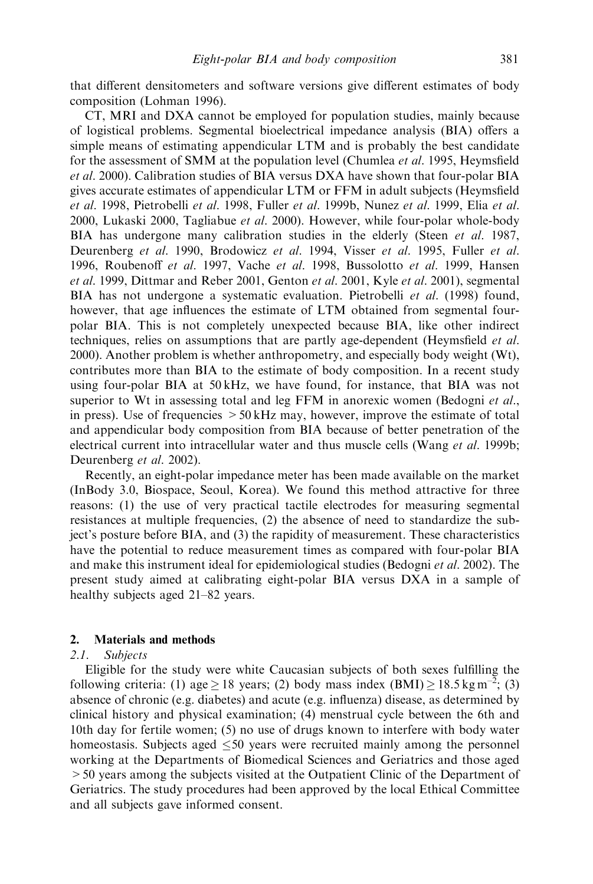that different densitometers and software versions give different estimates of body composition (Lohman 1996).

CT, MRI and DXA cannot be employed for population studies, mainly because of logistical problems. Segmental bioelectrical impedance analysis (BIA) offers a simple means of estimating appendicular LTM and is probably the best candidate for the assessment of SMM at the population level (Chumlea et al. 1995, Heymsfield et al. 2000). Calibration studies of BIA versus DXA have shown that four-polar BIA gives accurate estimates of appendicular LTM or FFM in adult subjects (Heymsfield et al. 1998, Pietrobelli et al. 1998, Fuller et al. 1999b, Nunez et al. 1999, Elia et al. 2000, Lukaski 2000, Tagliabue *et al.* 2000). However, while four-polar whole-body BIA has undergone many calibration studies in the elderly (Steen *et al.* 1987, Deurenberg et al. 1990, Brodowicz et al. 1994, Visser et al. 1995, Fuller et al. 1996, Roubenoff et al. 1997, Vache et al. 1998, Bussolotto et al. 1999, Hansen et al. 1999, Dittmar and Reber 2001, Genton et al. 2001, Kyle et al. 2001), segmental BIA has not undergone a systematic evaluation. Pietrobelli et al. (1998) found, however, that age influences the estimate of LTM obtained from segmental fourpolar BIA. This is not completely unexpected because BIA, like other indirect techniques, relies on assumptions that are partly age-dependent (Heymsfield *et al.*) 2000). Another problem is whether anthropometry, and especially body weight (Wt), contributes more than BIA to the estimate of body composition. In a recent study using four-polar BIA at 50 kHz, we have found, for instance, that BIA was not superior to Wt in assessing total and leg FFM in anorexic women (Bedogni et al., in press). Use of frequencies  $>50 \text{ kHz}$  may, however, improve the estimate of total and appendicular body composition from BIA because of better penetration of the electrical current into intracellular water and thus muscle cells (Wang et al. 1999b; Deurenberg et al. 2002).

Recently, an eight-polar impedance meter has been made available on the market (InBody 3.0, Biospace, Seoul, Korea). We found this method attractive for three reasons: (1) the use of very practical tactile electrodes for measuring segmental resistances at multiple frequencies, (2) the absence of need to standardize the subject's posture before BIA, and (3) the rapidity of measurement. These characteristics have the potential to reduce measurement times as compared with four-polar BIA and make this instrument ideal for epidemiological studies (Bedogni et al. 2002). The present study aimed at calibrating eight-polar BIA versus DXA in a sample of healthy subjects aged 21–82 years.

## 2. Materials and methods

## 2.1. Subjects

Eligible for the study were white Caucasian subjects of both sexes fulfilling the following criteria: (1) age  $\geq$  18 years; (2) body mass index (BMI)  $\geq$  18.5 kg m<sup>-2</sup>; (3) absence of chronic (e.g. diabetes) and acute (e.g. influenza) disease, as determined by clinical history and physical examination; (4) menstrual cycle between the 6th and 10th day for fertile women; (5) no use of drugs known to interfere with body water homeostasis. Subjects aged  $\leq 50$  years were recruited mainly among the personnel working at the Departments of Biomedical Sciences and Geriatrics and those aged >50 years among the subjects visited at the Outpatient Clinic of the Department of Geriatrics. The study procedures had been approved by the local Ethical Committee and all subjects gave informed consent.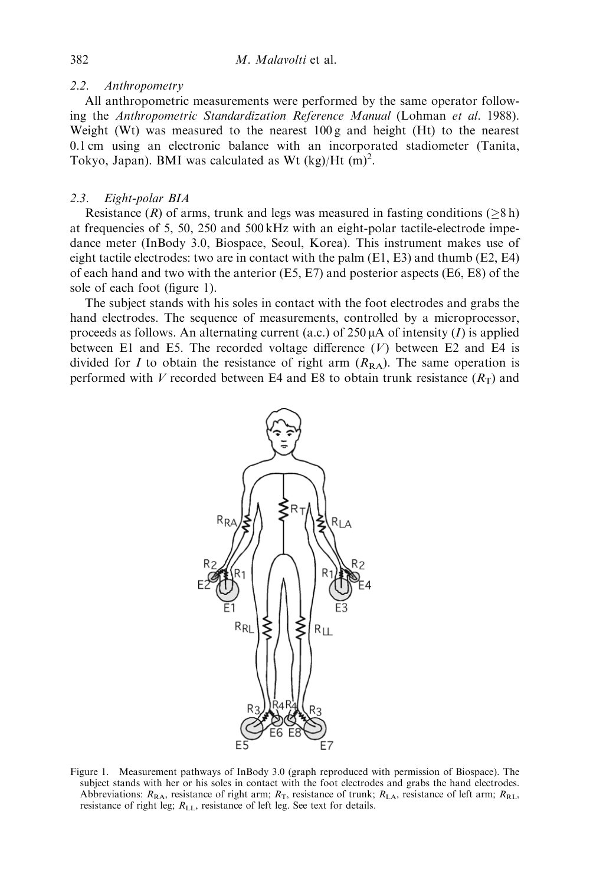### 2.2. Anthropometry

All anthropometric measurements were performed by the same operator following the Anthropometric Standardization Reference Manual (Lohman et al. 1988). Weight (Wt) was measured to the nearest 100 g and height (Ht) to the nearest 0.1 cm using an electronic balance with an incorporated stadiometer (Tanita, Tokyo, Japan). BMI was calculated as Wt  $(kg)/Ht$  (m)<sup>2</sup>.

## 2.3. Eight-polar BIA

Resistance  $(R)$  of arms, trunk and legs was measured in fasting conditions ( $>8$  h) at frequencies of 5, 50, 250 and 500 kHz with an eight-polar tactile-electrode impedance meter (InBody 3.0, Biospace, Seoul, Korea). This instrument makes use of eight tactile electrodes: two are in contact with the palm (E1, E3) and thumb (E2, E4) of each hand and two with the anterior (E5, E7) and posterior aspects (E6, E8) of the sole of each foot (figure 1).

The subject stands with his soles in contact with the foot electrodes and grabs the hand electrodes. The sequence of measurements, controlled by a microprocessor, proceeds as follows. An alternating current (a.c.) of 250  $\mu$ A of intensity (I) is applied between E1 and E5. The recorded voltage difference  $(V)$  between E2 and E4 is divided for I to obtain the resistance of right arm  $(R_{RA})$ . The same operation is performed with V recorded between E4 and E8 to obtain trunk resistance  $(R_T)$  and



Figure 1. Measurement pathways of InBody 3.0 (graph reproduced with permission of Biospace). The subject stands with her or his soles in contact with the foot electrodes and grabs the hand electrodes. Abbreviations:  $R_{\text{RA}}$ , resistance of right arm;  $R_{\text{T}}$ , resistance of trunk;  $R_{\text{LA}}$ , resistance of left arm;  $R_{\text{RL}}$ , resistance of right leg; RLL, resistance of left leg. See text for details.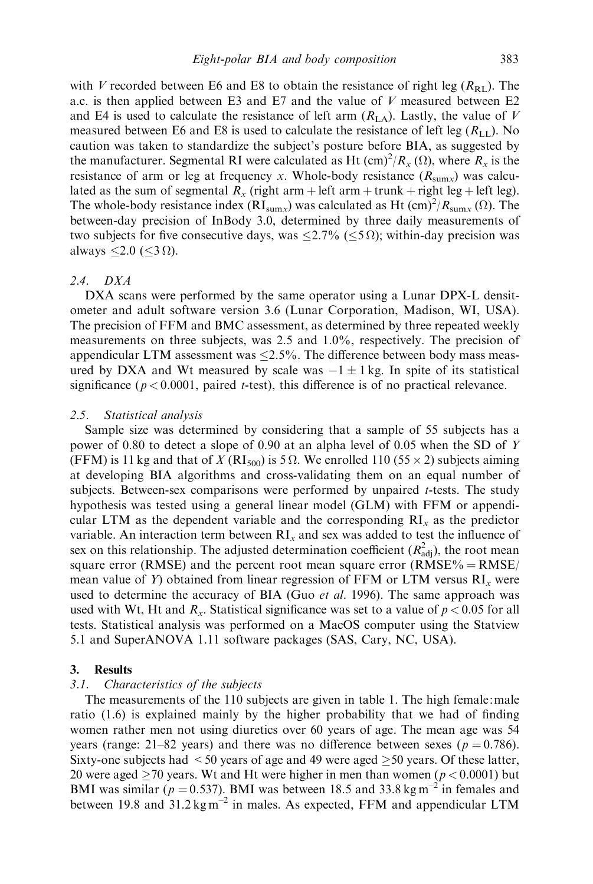with V recorded between E6 and E8 to obtain the resistance of right leg  $(R_{\text{RL}})$ . The a.c. is then applied between E3 and E7 and the value of V measured between E2 and E4 is used to calculate the resistance of left arm  $(R<sub>LA</sub>)$ . Lastly, the value of V measured between E6 and E8 is used to calculate the resistance of left leg  $(R<sub>LL</sub>)$ . No caution was taken to standardize the subject's posture before BIA, as suggested by the manufacturer. Segmental RI were calculated as Ht  $(\text{cm})^2/R_x(\Omega)$ , where  $R_x$  is the resistance of arm or leg at frequency x. Whole-body resistance  $(R_{\text{sum}})$  was calculated as the sum of segmental  $R_x$  (right arm + left arm + trunk + right leg + left leg). The whole-body resistance index ( $RI_{\text{sum}}$ ) was calculated as Ht (cm)<sup>2</sup>/ $R_{\text{sum}}$  ( $\Omega$ ). The between-day precision of InBody 3.0, determined by three daily measurements of two subjects for five consecutive days, was  $\langle 2.7\% | \langle 5 \Omega \rangle$ ; within-day precision was always  $\leq$ 2.0 ( $\leq$ 3  $\Omega$ ).

### 2.4. DXA

DXA scans were performed by the same operator using a Lunar DPX-L densitometer and adult software version 3.6 (Lunar Corporation, Madison, WI, USA). The precision of FFM and BMC assessment, as determined by three repeated weekly measurements on three subjects, was 2.5 and 1.0%, respectively. The precision of appendicular LTM assessment was  $\leq$ 2.5%. The difference between body mass measured by DXA and Wt measured by scale was  $-1 \pm 1$  kg. In spite of its statistical significance ( $p < 0.0001$ , paired *t*-test), this difference is of no practical relevance.

### 2.5. Statistical analysis

Sample size was determined by considering that a sample of 55 subjects has a power of 0.80 to detect a slope of 0.90 at an alpha level of 0.05 when the SD of Y (FFM) is 11 kg and that of X (RI<sub>500</sub>) is 5  $\Omega$ . We enrolled 110 (55  $\times$  2) subjects aiming at developing BIA algorithms and cross-validating them on an equal number of subjects. Between-sex comparisons were performed by unpaired t-tests. The study hypothesis was tested using a general linear model (GLM) with FFM or appendicular LTM as the dependent variable and the corresponding  $RI_x$  as the predictor variable. An interaction term between  $RI_x$  and sex was added to test the influence of sex on this relationship. The adjusted determination coefficient  $(R<sub>adj</sub><sup>2</sup>)$ , the root mean square error (RMSE) and the percent root mean square error (RMSE% = RMSE/ $\epsilon$ mean value of Y) obtained from linear regression of FFM or LTM versus  $RI_x$  were used to determine the accuracy of BIA (Guo *et al.* 1996). The same approach was used with Wt, Ht and  $R_x$ . Statistical significance was set to a value of  $p < 0.05$  for all tests. Statistical analysis was performed on a MacOS computer using the Statview 5.1 and SuperANOVA 1.11 software packages (SAS, Cary, NC, USA).

### 3. Results

### 3.1. Characteristics of the subjects

The measurements of the 110 subjects are given in table 1. The high female:male ratio (1.6) is explained mainly by the higher probability that we had of finding women rather men not using diuretics over 60 years of age. The mean age was 54 years (range: 21–82 years) and there was no difference between sexes ( $p = 0.786$ ). Sixty-one subjects had  $\leq$  50 years of age and 49 were aged  $\geq$  50 years. Of these latter, 20 were aged  $\geq$  70 years. Wt and Ht were higher in men than women ( $p$  < 0.0001) but BMI was similar ( $p = 0.537$ ). BMI was between 18.5 and 33.8 kg m<sup>-2</sup> in females and between 19.8 and  $31.2 \text{ kg m}^{-2}$  in males. As expected, FFM and appendicular LTM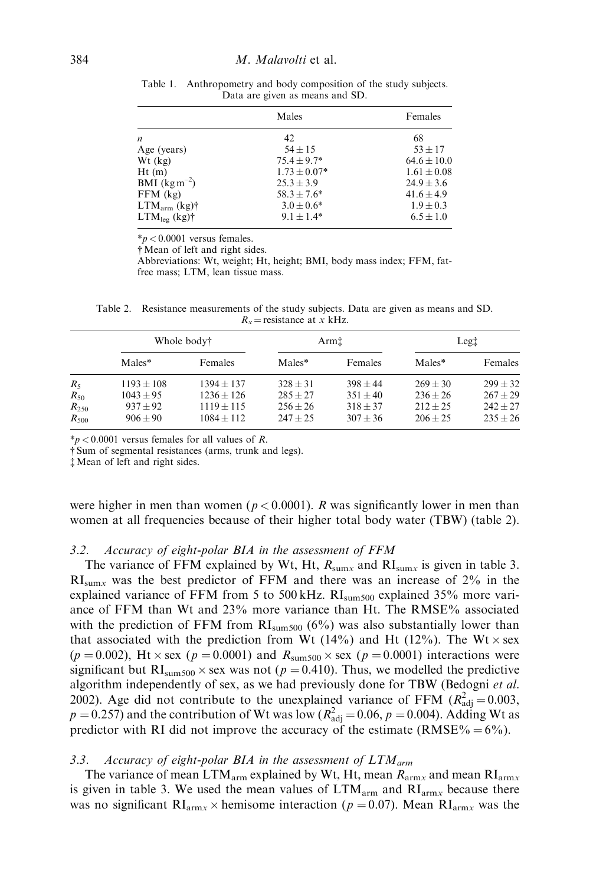|                   | Males            | Females         |
|-------------------|------------------|-----------------|
| n                 | 42               | 68              |
| Age (years)       | $54 \pm 15$      | $53 \pm 17$     |
| $Wt$ (kg)         | $75.4 \pm 9.7*$  | $64.6 \pm 10.0$ |
| Ht(m)             | $1.73 \pm 0.07*$ | $1.61 \pm 0.08$ |
| BMI $(kg m^{-2})$ | $25.3 \pm 3.9$   | $24.9 \pm 3.6$  |
| $FFM$ (kg)        | $58.3 \pm 7.6^*$ | $41.6 \pm 4.9$  |
| $LTM_{arm}$ (kg)† | $3.0 \pm 0.6^*$  | $1.9 \pm 0.3$   |
| $LTM_{leg}$ (kg)† | $9.1 \pm 1.4*$   | $6.5 \pm 1.0$   |

Table 1. Anthropometry and body composition of the study subjects. Data are given as means and SD.

 $*p < 0.0001$  versus females.

{Mean of left and right sides.

Abbreviations: Wt, weight; Ht, height; BMI, body mass index; FFM, fatfree mass; LTM, lean tissue mass.

Table 2. Resistance measurements of the study subjects. Data are given as means and SD.  $R_x$  = resistance at x kHz.

|           | Whole body†    |              | Arm‡         |            | Leg <sub>1</sub> |              |
|-----------|----------------|--------------|--------------|------------|------------------|--------------|
|           | Males*         | Females      | Males*       | Females    | Males*           | Females      |
| $R_5$     | $1193 \pm 108$ | $1394 + 137$ | $328 + 31$   | $398 + 44$ | $269 + 30$       | $299 \pm 32$ |
| $R_{50}$  | $1043 + 95$    | $1236 + 126$ | $285 + 27$   | $351 + 40$ | $236 + 26$       | $267 \pm 29$ |
| $R_{250}$ | $937 \pm 92$   | $1119 + 115$ | $256 \pm 26$ | $318 + 37$ | $212 + 25$       | $242 \pm 27$ |
| $R_{500}$ | $906 + 90$     | $1084 + 112$ | $247 + 25$   | $307 + 36$ | $206 + 25$       | $235 \pm 26$ |

 $*p < 0.0001$  versus females for all values of R.

{ Sum of segmental resistances (arms, trunk and legs).

{ Mean of left and right sides.

were higher in men than women ( $p < 0.0001$ ). R was significantly lower in men than women at all frequencies because of their higher total body water (TBW) (table 2).

### 3.2. Accuracy of eight-polar BIA in the assessment of FFM

The variance of FFM explained by Wt, Ht,  $R_{\text{sum}x}$  and  $\text{RI}_{\text{sum}x}$  is given in table 3.  $RI_{sum}$  was the best predictor of FFM and there was an increase of 2% in the explained variance of FFM from 5 to 500 kHz. RI<sub>sum500</sub> explained 35% more variance of FFM than Wt and 23% more variance than Ht. The RMSE% associated with the prediction of FFM from  $RI_{sum500}$  (6%) was also substantially lower than that associated with the prediction from Wt (14%) and Ht (12%). The Wt  $\times$  sex  $(p = 0.002)$ , Ht  $\times$  sex (p = 0.0001) and  $R_{\text{sum500}} \times$  sex (p = 0.0001) interactions were significant but RI<sub>sum500</sub>  $\times$  sex was not (p = 0.410). Thus, we modelled the predictive algorithm independently of sex, as we had previously done for TBW (Bedogni et al. 2002). Age did not contribute to the unexplained variance of FFM  $(R_{\text{adj}}^2 = 0.003,$  $p = 0.257$ ) and the contribution of Wt was low ( $R_{\text{adj}}^2 = 0.06$ ,  $p = 0.004$ ). Adding Wt as predictor with RI did not improve the accuracy of the estimate (RMSE% =  $6\%$ ).

#### 3.3. Accuracy of eight-polar BIA in the assessment of  $LTM_{arm}$

The variance of mean LTM<sub>arm</sub> explained by Wt, Ht, mean  $R_{armx}$  and mean  $R_{armx}$ is given in table 3. We used the mean values of  $LTM_{arm}$  and  $RI_{armx}$  because there was no significant  $\text{RI}_{armx}$   $\times$  hemisome interaction ( $p = 0.07$ ). Mean  $\text{RI}_{armx}$  was the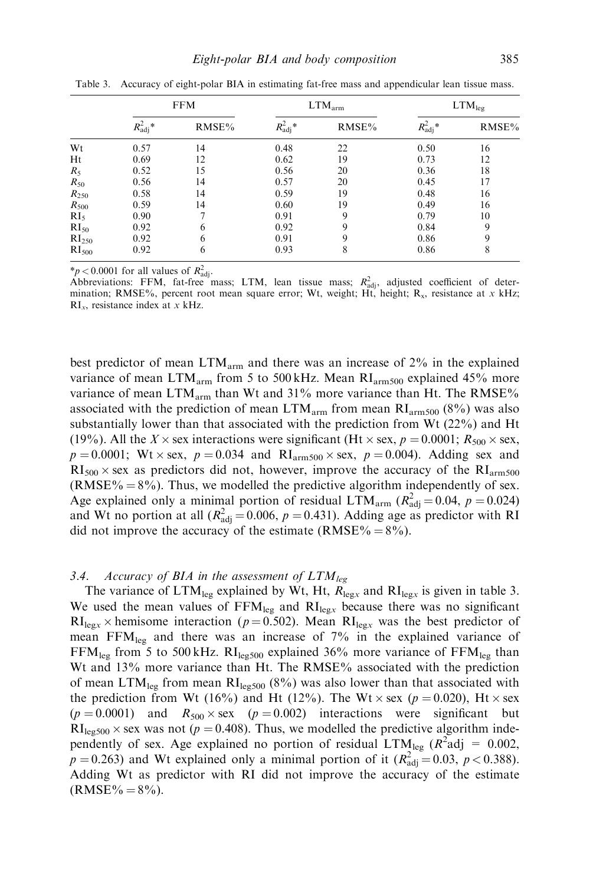|                   | <b>FFM</b>        |               | $LTM_{arm}$            |       | LTM <sub>leg</sub> |       |
|-------------------|-------------------|---------------|------------------------|-------|--------------------|-------|
|                   | $R_{\rm adj}^2$ * | RMSE%         | $R^2_{\mathrm{adj}}$ * | RMSE% | $R_{\rm adj}^2$ *  | RMSE% |
| Wt                | 0.57              | 14            | 0.48                   | 22    | 0.50               | 16    |
| Ht                | 0.69              | 12            | 0.62                   | 19    | 0.73               | 12    |
| $R_5$             | 0.52              | 15            | 0.56                   | 20    | 0.36               | 18    |
| $R_{50}$          | 0.56              | 14            | 0.57                   | 20    | 0.45               | 17    |
| $R_{250}$         | 0.58              | 14            | 0.59                   | 19    | 0.48               | 16    |
| $R_{500}$         | 0.59              | 14            | 0.60                   | 19    | 0.49               | 16    |
| RI <sub>5</sub>   | 0.90              | $\mathcal{I}$ | 0.91                   | 9     | 0.79               | 10    |
| $RI_{50}$         | 0.92              | 6             | 0.92                   | 9     | 0.84               | 9     |
| RI <sub>250</sub> | 0.92              | 6             | 0.91                   | 9     | 0.86               | 9     |
| RI <sub>500</sub> | 0.92              | 6             | 0.93                   | 8     | 0.86               | 8     |

Table 3. Accuracy of eight-polar BIA in estimating fat-free mass and appendicular lean tissue mass.

\* $p < 0.0001$  for all values of  $R_{\text{adj}}^2$ .

Abbreviations: FFM, fat-free mass; LTM, lean tissue mass;  $R_{\text{adj}}^2$ , adjusted coefficient of determination; RMSE%, percent root mean square error; Wt, weight; Ht, height;  $R_x$ , resistance at x kHz;  $RI_x$ , resistance index at x kHz.

best predictor of mean LTMarm and there was an increase of 2% in the explained variance of mean LTM<sub>arm</sub> from 5 to 500 kHz. Mean  $RI_{arm500}$  explained 45% more variance of mean LTM<sub>arm</sub> than Wt and 31% more variance than Ht. The RMSE% associated with the prediction of mean  $LTM_{arm}$  from mean  $RI_{arm500}$  (8%) was also substantially lower than that associated with the prediction from Wt (22%) and Ht (19%). All the X  $\times$  sex interactions were significant (Ht  $\times$  sex,  $p = 0.0001$ ;  $R_{500} \times$  sex,  $p = 0.0001$ ; Wt  $\times$  sex,  $p = 0.034$  and RI<sub>arm500</sub>  $\times$  sex,  $p = 0.004$ ). Adding sex and  $RI_{500} \times$  sex as predictors did not, however, improve the accuracy of the  $RI_{arm500}$ (RMSE%  $= 8\%$ ). Thus, we modelled the predictive algorithm independently of sex. Age explained only a minimal portion of residual LTM<sub>arm</sub> ( $R_{\text{adj}}^2 = 0.04$ ,  $p = 0.024$ ) and Wt no portion at all  $(R<sub>adj</sub><sup>2</sup> = 0.006, p = 0.431)$ . Adding age as predictor with RI did not improve the accuracy of the estimate (RMSE% =  $8\%$ ).

## 3.4. Accuracy of BIA in the assessment of  $LTM_{leg}$

The variance of  $LTM_{leg}$  explained by Wt, Ht,  $R_{legx}$  and  $RI_{legx}$  is given in table 3. We used the mean values of  $FFM_{legx}$  and  $RI_{legx}$  because there was no significant  $RI_{\text{leg}x}$  \times hemisome interaction (p = 0.502). Mean  $RI_{\text{leg}x}$  was the best predictor of mean  $FFM_{leg}$  and there was an increase of 7% in the explained variance of  $FFM_{leg}$  from 5 to 500 kHz.  $RI_{leg500}$  explained 36% more variance of  $FFM_{leg}$  than Wt and 13% more variance than Ht. The RMSE% associated with the prediction of mean  $LTM_{\text{leg}}$  from mean  $RI_{\text{leg}500}$  (8%) was also lower than that associated with the prediction from Wt (16%) and Ht (12%). The Wt  $\times$  sex (p = 0.020), Ht  $\times$  sex  $(p = 0.0001)$  and  $R_{500} \times$  sex  $(p = 0.002)$  interactions were significant but  $RI_{\text{leg500}} \times \text{sex}$  was not (p = 0.408). Thus, we modelled the predictive algorithm independently of sex. Age explained no portion of residual  $LTM_{leg}$  ( $R^2$ adj = 0.002,  $p = 0.263$ ) and Wt explained only a minimal portion of it  $(R_{\text{adj}}^2 = 0.03, p < 0.388)$ . Adding Wt as predictor with RI did not improve the accuracy of the estimate  $(RMSE\% = 8\%)$ .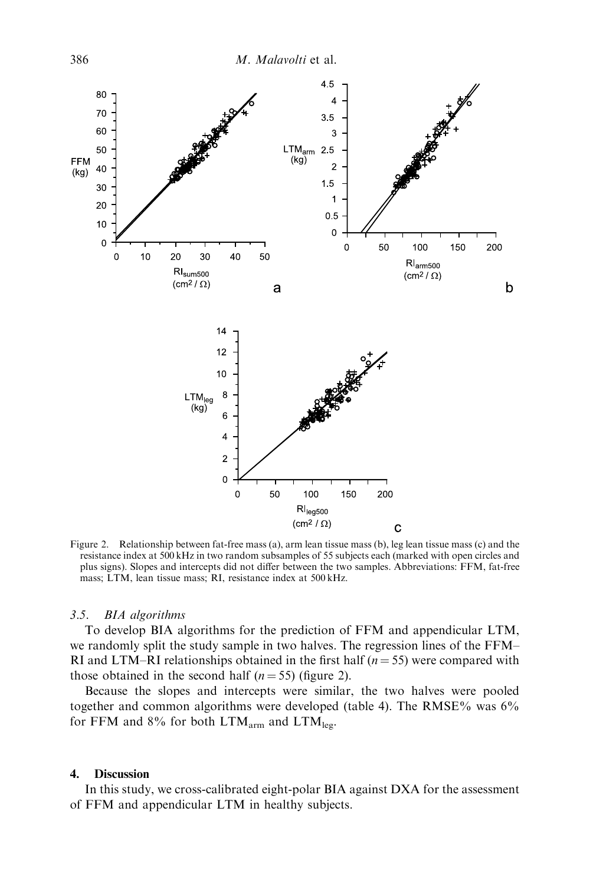

Figure 2. Relationship between fat-free mass (a), arm lean tissue mass (b), leg lean tissue mass (c) and the resistance index at 500 kHz in two random subsamples of 55 subjects each (marked with open circles and plus signs). Slopes and intercepts did not differ between the two samples. Abbreviations: FFM, fat-free mass; LTM, lean tissue mass; RI, resistance index at 500 kHz.

### 3.5. BIA algorithms

To develop BIA algorithms for the prediction of FFM and appendicular LTM, we randomly split the study sample in two halves. The regression lines of the FFM– RI and LTM–RI relationships obtained in the first half ( $n = 55$ ) were compared with those obtained in the second half  $(n = 55)$  (figure 2).

Because the slopes and intercepts were similar, the two halves were pooled together and common algorithms were developed (table 4). The RMSE% was 6% for FFM and 8% for both  $LTM_{arm}$  and  $LTM_{leg}$ .

### 4. Discussion

In this study, we cross-calibrated eight-polar BIA against DXA for the assessment of FFM and appendicular LTM in healthy subjects.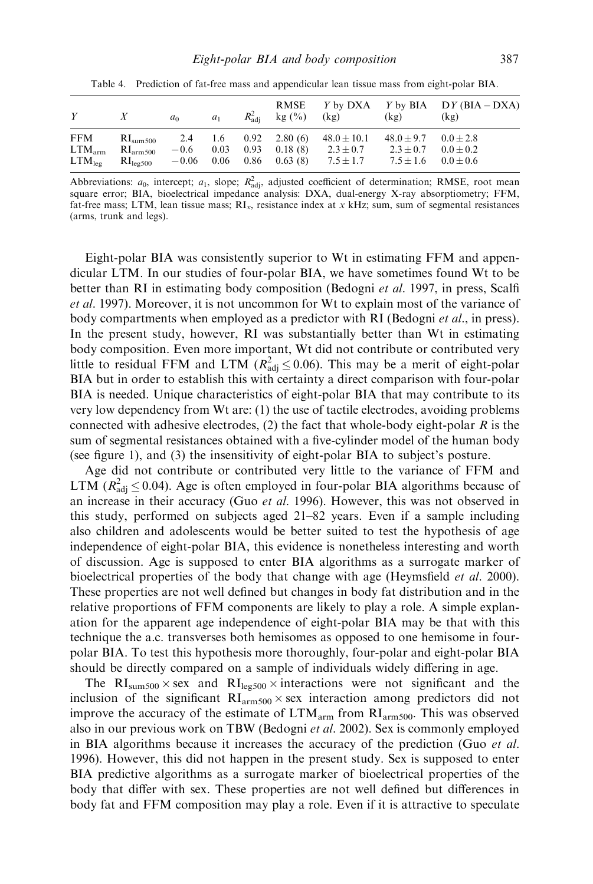| Y                                               |                                                                                | a <sub>0</sub>    | $a_1$                   |      | <b>RMSE</b><br>$R_{\rm adi}^2$ kg $(\% )$           | (kg)                                              | (kg)                                             | Y by DXA Y by BIA DY (BIA – DXA)<br>(kg)        |
|-------------------------------------------------|--------------------------------------------------------------------------------|-------------------|-------------------------|------|-----------------------------------------------------|---------------------------------------------------|--------------------------------------------------|-------------------------------------------------|
| <b>FFM</b><br>$LTM_{arm}$<br>$LTM_{\text{lep}}$ | $\mathrm{RI}_{\mathrm{sum}500}$<br>RI <sub>arm500</sub><br>$R_{\text{leg500}}$ | $-0.6$<br>$-0.06$ | 2.4 1.6<br>0.03<br>0.06 | 0.93 | $0.92 \quad 2.80(6)$<br>0.18(8)<br>$0.86$ $0.63(8)$ | $48.0 \pm 10.1$<br>$2.3 \pm 0.7$<br>$7.5 \pm 1.7$ | $48.0 \pm 9.7$<br>$2.3 \pm 0.7$<br>$7.5 \pm 1.6$ | $0.0 \pm 2.8$<br>$0.0 \pm 0.2$<br>$0.0 \pm 0.6$ |

Table 4. Prediction of fat-free mass and appendicular lean tissue mass from eight-polar BIA.

Abbreviations:  $a_0$ , intercept;  $a_1$ , slope;  $R_{\text{adj}}^2$ , adjusted coefficient of determination; RMSE, root mean square error; BIA, bioelectrical impedance analysis: DXA, dual-energy X-ray absorptiometry; FFM, fat-free mass; LTM, lean tissue mass;  $RI_x$ , resistance index at x kHz; sum, sum of segmental resistances (arms, trunk and legs).

Eight-polar BIA was consistently superior to Wt in estimating FFM and appendicular LTM. In our studies of four-polar BIA, we have sometimes found Wt to be better than RI in estimating body composition (Bedogni et al. 1997, in press, Scalfi et al. 1997). Moreover, it is not uncommon for Wt to explain most of the variance of body compartments when employed as a predictor with RI (Bedogni et al., in press). In the present study, however, RI was substantially better than Wt in estimating body composition. Even more important, Wt did not contribute or contributed very little to residual FFM and LTM ( $R_{\text{adj}}^2 \le 0.06$ ). This may be a merit of eight-polar BIA but in order to establish this with certainty a direct comparison with four-polar BIA is needed. Unique characteristics of eight-polar BIA that may contribute to its very low dependency from Wt are: (1) the use of tactile electrodes, avoiding problems connected with adhesive electrodes,  $(2)$  the fact that whole-body eight-polar R is the sum of segmental resistances obtained with a five-cylinder model of the human body (see figure 1), and (3) the insensitivity of eight-polar BIA to subject's posture.

Age did not contribute or contributed very little to the variance of FFM and LTM ( $R_{\text{adj}}^2 \le 0.04$ ). Age is often employed in four-polar BIA algorithms because of an increase in their accuracy (Guo et al. 1996). However, this was not observed in this study, performed on subjects aged 21–82 years. Even if a sample including also children and adolescents would be better suited to test the hypothesis of age independence of eight-polar BIA, this evidence is nonetheless interesting and worth of discussion. Age is supposed to enter BIA algorithms as a surrogate marker of bioelectrical properties of the body that change with age (Heymsfield *et al.* 2000). These properties are not well defined but changes in body fat distribution and in the relative proportions of FFM components are likely to play a role. A simple explanation for the apparent age independence of eight-polar BIA may be that with this technique the a.c. transverses both hemisomes as opposed to one hemisome in fourpolar BIA. To test this hypothesis more thoroughly, four-polar and eight-polar BIA should be directly compared on a sample of individuals widely differing in age.

The  $RI_{sum500} \times$  sex and  $RI_{leg500} \times$  interactions were not significant and the inclusion of the significant  $RI_{arm500} \times$  sex interaction among predictors did not improve the accuracy of the estimate of  $LTM_{arm}$  from  $RI_{arm500}$ . This was observed also in our previous work on TBW (Bedogni et al. 2002). Sex is commonly employed in BIA algorithms because it increases the accuracy of the prediction (Guo  $et$  al. 1996). However, this did not happen in the present study. Sex is supposed to enter BIA predictive algorithms as a surrogate marker of bioelectrical properties of the body that differ with sex. These properties are not well defined but differences in body fat and FFM composition may play a role. Even if it is attractive to speculate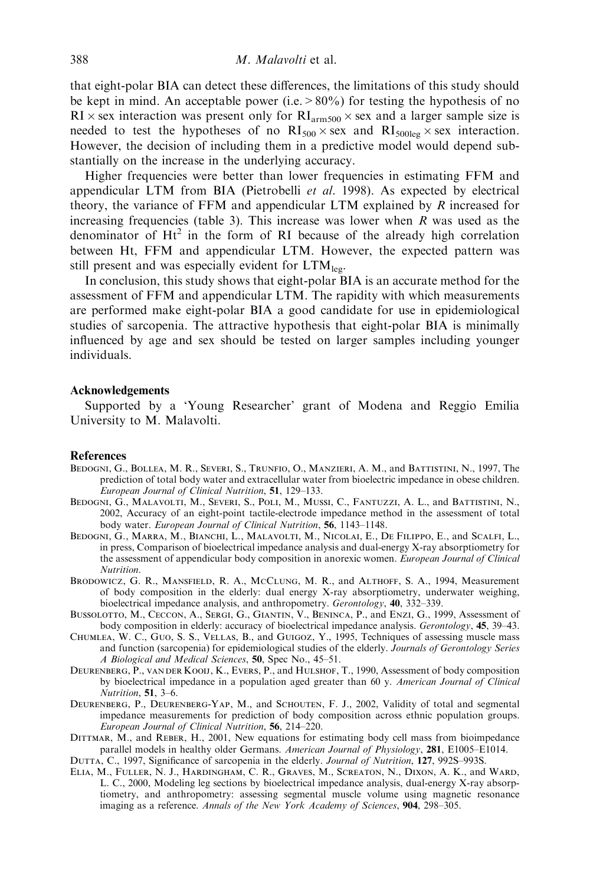that eight-polar BIA can detect these differences, the limitations of this study should be kept in mind. An acceptable power (i.e.  $> 80\%$ ) for testing the hypothesis of no  $RI \times$  sex interaction was present only for  $RI_{arm500} \times$  sex and a larger sample size is needed to test the hypotheses of no  $RI_{500} \times$  sex and  $RI_{500 \text{leg}} \times$  sex interaction. However, the decision of including them in a predictive model would depend substantially on the increase in the underlying accuracy.

Higher frequencies were better than lower frequencies in estimating FFM and appendicular LTM from BIA (Pietrobelli  $et$  al. 1998). As expected by electrical theory, the variance of FFM and appendicular LTM explained by  $R$  increased for increasing frequencies (table 3). This increase was lower when  $R$  was used as the denominator of  $Ht^2$  in the form of RI because of the already high correlation between Ht, FFM and appendicular LTM. However, the expected pattern was still present and was especially evident for  $LTM_{\text{leg}}$ .

In conclusion, this study shows that eight-polar BIA is an accurate method for the assessment of FFM and appendicular LTM. The rapidity with which measurements are performed make eight-polar BIA a good candidate for use in epidemiological studies of sarcopenia. The attractive hypothesis that eight-polar BIA is minimally influenced by age and sex should be tested on larger samples including younger individuals.

### Acknowledgements

Supported by a 'Young Researcher' grant of Modena and Reggio Emilia University to M. Malavolti.

#### References

- Bedogni, G., Bollea, M. R., Severi, S., Trunfio, O., Manzieri, A. M., and Battistini, N., 1997, The prediction of total body water and extracellular water from bioelectric impedance in obese children. European Journal of Clinical Nutrition, 51, 129–133.
- Bedogni, G., Malavolti, M., Severi, S., Poli, M., Mussi, C., Fantuzzi, A. L., and Battistini, N., 2002, Accuracy of an eight-point tactile-electrode impedance method in the assessment of total body water. European Journal of Clinical Nutrition, 56, 1143-1148.
- BEDOGNI, G., MARRA, M., BIANCHI, L., MALAVOLTI, M., NICOLAI, E., DE FILIPPO, E., and SCALFI, L., in press, Comparison of bioelectrical impedance analysis and dual-energy X-ray absorptiometry for the assessment of appendicular body composition in anorexic women. European Journal of Clinical Nutrition.
- Brodowicz, G. R., Mansfield, R. A., McClung, M. R., and Althoff, S. A., 1994, Measurement of body composition in the elderly: dual energy X-ray absorptiometry, underwater weighing, bioelectrical impedance analysis, and anthropometry. Gerontology, 40, 332–339.
- Bussolotto, M., Ceccon, A., Sergi, G., Giantin, V., Beninca, P., and Enzi, G., 1999, Assessment of body composition in elderly: accuracy of bioelectrical impedance analysis. Gerontology, 45, 39–43.
- Chumlea, W. C., Guo, S. S., Vellas, B., and Guigoz, Y., 1995, Techniques of assessing muscle mass and function (sarcopenia) for epidemiological studies of the elderly. Journals of Gerontology Series A Biological and Medical Sciences, 50, Spec No., 45–51.
- Deurenberg, P., van der Kooij, K., Evers, P., and Hulshof, T., 1990, Assessment of body composition by bioelectrical impedance in a population aged greater than 60 y. American Journal of Clinical Nutrition, 51, 3–6.
- DEURENBERG, P., DEURENBERG-YAP, M., and SCHOUTEN, F. J., 2002, Validity of total and segmental impedance measurements for prediction of body composition across ethnic population groups. European Journal of Clinical Nutrition, 56, 214–220.
- Dittmar, M., and Reber, H., 2001, New equations for estimating body cell mass from bioimpedance parallel models in healthy older Germans. American Journal of Physiology, 281, E1005–E1014.

DUTTA, C., 1997, Significance of sarcopenia in the elderly. Journal of Nutrition, 127, 992S-993S.

Elia, M., Fuller, N. J., Hardingham, C. R., Graves, M., Screaton, N., Dixon, A. K., and Ward, L. C., 2000, Modeling leg sections by bioelectrical impedance analysis, dual-energy X-ray absorptiometry, and anthropometry: assessing segmental muscle volume using magnetic resonance imaging as a reference. Annals of the New York Academy of Sciences, 904, 298–305.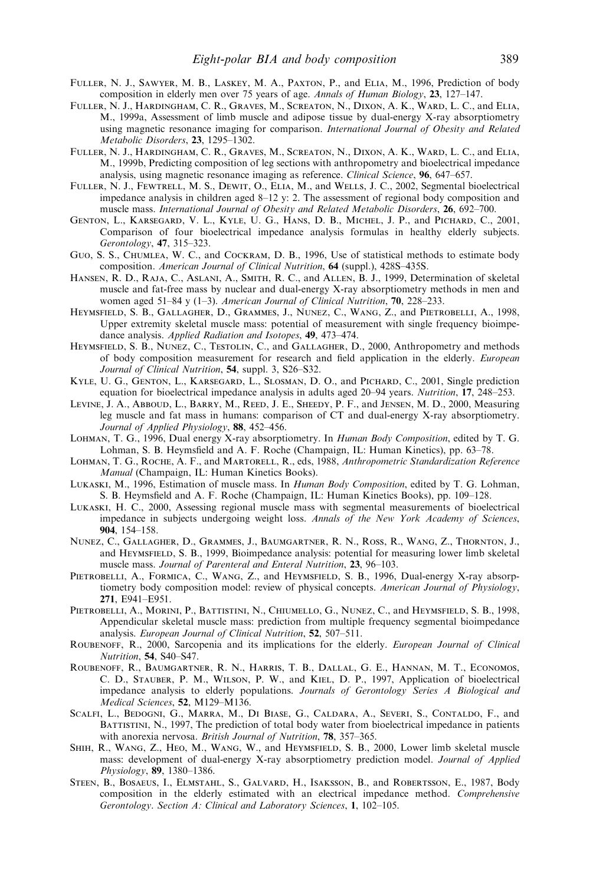- Fuller, N. J., Sawyer, M. B., Laskey, M. A., Paxton, P., and Elia, M., 1996, Prediction of body composition in elderly men over 75 years of age. Annals of Human Biology, 23, 127–147.
- Fuller, N. J., Hardingham, C. R., Graves, M., Screaton, N., Dixon, A. K., Ward, L. C., and Elia, M., 1999a, Assessment of limb muscle and adipose tissue by dual-energy X-ray absorptiometry using magnetic resonance imaging for comparison. International Journal of Obesity and Related Metabolic Disorders, 23, 1295–1302.
- Fuller, N. J., Hardingham, C. R., Graves, M., Screaton, N., Dixon, A. K., Ward, L. C., and Elia, M., 1999b, Predicting composition of leg sections with anthropometry and bioelectrical impedance analysis, using magnetic resonance imaging as reference. Clinical Science, 96, 647–657.
- Fuller, N. J., Fewtrell, M. S., Dewit, O., Elia, M., and Wells, J. C., 2002, Segmental bioelectrical impedance analysis in children aged 8–12 y: 2. The assessment of regional body composition and muscle mass. International Journal of Obesity and Related Metabolic Disorders, 26, 692–700.
- Genton, L., Karsegard, V. L., Kyle, U. G., Hans, D. B., Michel, J. P., and Pichard, C., 2001, Comparison of four bioelectrical impedance analysis formulas in healthy elderly subjects. Gerontology, 47, 315–323.
- Guo, S. S., Chumlea, W. C., and Cockram, D. B., 1996, Use of statistical methods to estimate body composition. American Journal of Clinical Nutrition, 64 (suppl.), 428S–435S.
- Hansen, R. D., Raja, C., Aslani, A., Smith, R. C., and Allen, B. J., 1999, Determination of skeletal muscle and fat-free mass by nuclear and dual-energy X-ray absorptiometry methods in men and women aged 51–84 y (1–3). American Journal of Clinical Nutrition,  $70$ , 228–233.
- Heymsfield, S. B., Gallagher, D., Grammes, J., Nunez, C., Wang, Z., and Pietrobelli, A., 1998, Upper extremity skeletal muscle mass: potential of measurement with single frequency bioimpedance analysis. Applied Radiation and Isotopes, 49, 473–474.
- HEYMSFIELD, S. B., NUNEZ, C., TESTOLIN, C., and GALLAGHER, D., 2000, Anthropometry and methods of body composition measurement for research and field application in the elderly. European Journal of Clinical Nutrition, 54, suppl. 3, S26-S32.
- Kyle, U. G., Genton, L., Karsegard, L., Slosman, D. O., and Pichard, C., 2001, Single prediction equation for bioelectrical impedance analysis in adults aged 20–94 years. Nutrition, 17, 248–253.
- Levine, J. A., Abboud, L., Barry, M., Reed, J. E., Sheedy, P. F., and Jensen, M. D., 2000, Measuring leg muscle and fat mass in humans: comparison of CT and dual-energy X-ray absorptiometry. Journal of Applied Physiology, 88, 452-456.
- Lohman, T. G., 1996, Dual energy X-ray absorptiometry. In Human Body Composition, edited by T. G. Lohman, S. B. Heymsfield and A. F. Roche (Champaign, IL: Human Kinetics), pp. 63–78.
- LOHMAN, T. G., ROCHE, A. F., and MARTORELL, R., eds, 1988, Anthropometric Standardization Reference Manual (Champaign, IL: Human Kinetics Books).
- LUKASKI, M., 1996, Estimation of muscle mass. In Human Body Composition, edited by T. G. Lohman, S. B. Heymsfield and A. F. Roche (Champaign, IL: Human Kinetics Books), pp. 109–128.
- Lukaski, H. C., 2000, Assessing regional muscle mass with segmental measurements of bioelectrical impedance in subjects undergoing weight loss. Annals of the New York Academy of Sciences, 904, 154–158.
- Nunez, C., Gallagher, D., Grammes, J., Baumgartner, R. N., Ross, R., Wang, Z., Thornton, J., and HEYMSFIELD, S. B., 1999, Bioimpedance analysis: potential for measuring lower limb skeletal muscle mass. Journal of Parenteral and Enteral Nutrition, 23, 96–103.
- PIETROBELLI, A., FORMICA, C., WANG, Z., and HEYMSFIELD, S. B., 1996, Dual-energy X-ray absorptiometry body composition model: review of physical concepts. American Journal of Physiology, 271, E941–E951.
- PIETROBELLI, A., MORINI, P., BATTISTINI, N., CHIUMELLO, G., NUNEZ, C., and HEYMSFIELD, S. B., 1998, Appendicular skeletal muscle mass: prediction from multiple frequency segmental bioimpedance analysis. European Journal of Clinical Nutrition, 52, 507–511.
- ROUBENOFF, R., 2000, Sarcopenia and its implications for the elderly. European Journal of Clinical Nutrition, 54, S40–S47.
- Roubenoff, R., Baumgartner, R. N., Harris, T. B., Dallal, G. E., Hannan, M. T., Economos, C. D., Stauber, P. M., Wilson, P. W., and Kiel, D. P., 1997, Application of bioelectrical impedance analysis to elderly populations. Journals of Gerontology Series A Biological and Medical Sciences, 52, M129–M136.
- Scalfi, L., Bedogni, G., Marra, M., Di Biase, G., Caldara, A., Severi, S., Contaldo, F., and BATTISTINI, N., 1997, The prediction of total body water from bioelectrical impedance in patients with anorexia nervosa. British Journal of Nutrition, 78, 357-365.
- SHIH, R., WANG, Z., HEO, M., WANG, W., and HEYMSFIELD, S. B., 2000, Lower limb skeletal muscle mass: development of dual-energy X-ray absorptiometry prediction model. Journal of Applied Physiology, 89, 1380–1386.
- Steen, B., Bosaeus, I., Elmstahl, S., Galvard, H., Isaksson, B., and Robertsson, E., 1987, Body composition in the elderly estimated with an electrical impedance method. Comprehensive Gerontology. Section A: Clinical and Laboratory Sciences, 1, 102-105.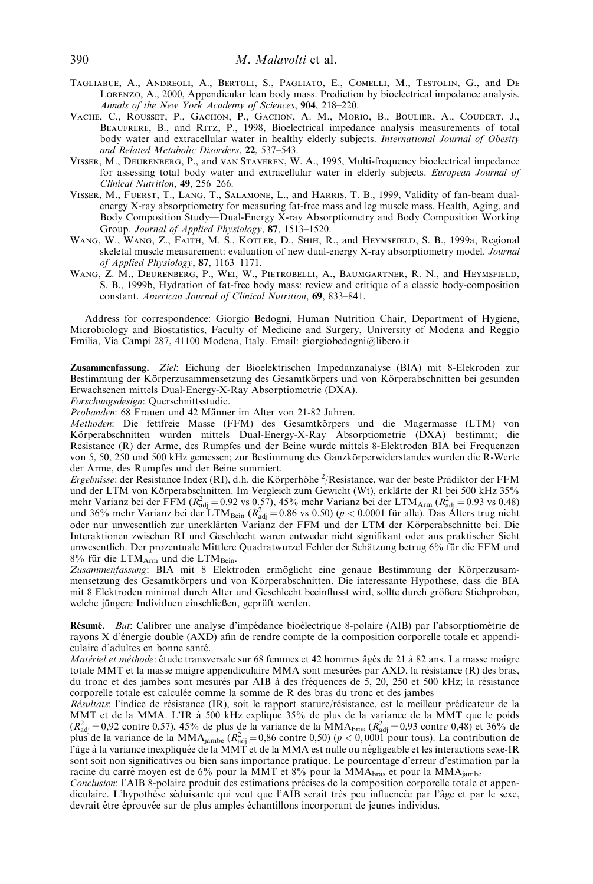- Tagliabue, A., Andreoli, A., Bertoli, S., Pagliato, E., Comelli, M., Testolin, G., and De Lorenzo, A., 2000, Appendicular lean body mass. Prediction by bioelectrical impedance analysis. Annals of the New York Academy of Sciences, 904, 218–220.
- Vache, C., Rousset, P., Gachon, P., Gachon, A. M., Morio, B., Boulier, A., Coudert, J., Beaufrere, B., and Ritz, P., 1998, Bioelectrical impedance analysis measurements of total body water and extracellular water in healthy elderly subjects. International Journal of Obesity and Related Metabolic Disorders, 22, 537–543.
- Visser, M., Deurenberg, P., and van Staveren, W. A., 1995, Multi-frequency bioelectrical impedance for assessing total body water and extracellular water in elderly subjects. European Journal of Clinical Nutrition, 49, 256–266.
- Visser, M., Fuerst, T., Lang, T., Salamone, L., and Harris, T. B., 1999, Validity of fan-beam dualenergy X-ray absorptiometry for measuring fat-free mass and leg muscle mass. Health, Aging, and Body Composition Study—Dual-Energy X-ray Absorptiometry and Body Composition Working Group. Journal of Applied Physiology, 87, 1513-1520.
- WANG, W., WANG, Z., FAITH, M. S., KOTLER, D., SHIH, R., and HEYMSFIELD, S. B., 1999a, Regional skeletal muscle measurement: evaluation of new dual-energy X-ray absorptiometry model. Journal of Applied Physiology, 87, 1163–1171.
- Wang, Z. M., Deurenberg, P., Wei, W., Pietrobelli, A., Baumgartner, R. N., and Heymsfield, S. B., 1999b, Hydration of fat-free body mass: review and critique of a classic body-composition constant. American Journal of Clinical Nutrition, 69, 833–841.

Address for correspondence: Giorgio Bedogni, Human Nutrition Chair, Department of Hygiene, Microbiology and Biostatistics, Faculty of Medicine and Surgery, University of Modena and Reggio Emilia, Via Campi 287, 41100 Modena, Italy. Email: giorgiobedogni@libero.it

Zusammenfassung. Ziel: Eichung der Bioelektrischen Impedanzanalyse (BIA) mit 8-Elekroden zur Bestimmung der Körperzusammensetzung des Gesamtkörpers und von Körperabschnitten bei gesunden Erwachsenen mittels Dual-Energy-X-Ray Absorptiometrie (DXA).

Forschungsdesign: Querschnittsstudie.

Probanden: 68 Frauen und 42 Männer im Alter von 21-82 Jahren.

Methoden: Die fettfreie Masse (FFM) des Gesamtkörpers und die Magermasse (LTM) von Körperabschnitten wurden mittels Dual-Energy-X-Ray Absorptiometrie (DXA) bestimmt; die Resistance (R) der Arme, des Rumpfes und der Beine wurde mittels 8-Elektroden BIA bei Frequenzen von 5, 50, 250 und 500 kHz gemessen; zur Bestimmung des Ganzkörperwiderstandes wurden die R-Werte der Arme, des Rumpfes und der Beine summiert.

Ergebnisse: der Resistance Index (RI), d.h. die Körperhöhe <sup>2</sup>/Resistance, war der beste Prädiktor der FFM und der LTM von Körperabschnitten. Im Vergleich zum Gewicht (Wt), erklärte der RI bei 500 kHz 35% mehr Varianz bei der FFM ( $R_{\text{adj}}^2 = 0.92$  vs 0.57), 45% mehr Varianz bei der LTM<sub>Arm</sub> ( $R_{\text{adj}}^2 = 0.93$  vs 0.48) und 36% mehr Varianz bei der LTM<sub>Bein</sub> ( $R_{\text{adj}}^2 = 0.86$  vs 0.50) ( $p < 0.0001$  für alle). Das Alters tru Interaktionen zwischen RI und Geschlecht waren entweder nicht signifikant oder aus praktischer Sicht unwesentlich. Der prozentuale Mittlere Quadratwurzel Fehler der Schätzung betrug 6% für die FFM und 8% für die  $LTM_{\text{Arm}}$  und die  $LTM_{\text{Bein}}$ .

Zusammenfassung: BIA mit 8 Elektroden ermöglicht eine genaue Bestimmung der Körperzusammensetzung des Gesamtkörpers und von Körperabschnitten. Die interessante Hypothese, dass die BIA mit 8 Elektroden minimal durch Alter und Geschlecht beeinflusst wird, sollte durch größere Stichproben, welche jüngere Individuen einschließen, geprüft werden.

Résumé. But: Calibrer une analyse d'impédance bioélectrique 8-polaire (AIB) par l'absorptiométrie de rayons X d'énergie double (AXD) afin de rendre compte de la composition corporelle totale et appendiculaire d'adultes en bonne santé.

Matériel et méthode: étude transversale sur 68 femmes et 42 hommes âgés de 21 à 82 ans. La masse maigre totale MMT et la masse maigre appendiculaire MMA sont mesurées par AXD, la résistance (R) des bras, du tronc et des jambes sont mesurés par AIB à des fréquences de 5, 20, 250 et 500 kHz; la résistance corporelle totale est calculée comme la somme de R des bras du tronc et des jambes

Résultats: l'indice de résistance (IR), soit le rapport stature/résistance, est le meilleur prédicateur de la MMT et de la MMA. L'IR à 500 kHz explique 35% de plus de la variance de la MMT que le poids  $(R_{\text{adj}}^2 = 0.92 \text{ contre } 0.57)$ , 45% de plus de la variance de la MMA<sub>bras</sub>  $(R_{\text{adj}}^2 = 0.93 \text{ contre } 0.48)$  et 36% de plus de la variance de la MMA<sub>jambe</sub> ( $R_{\text{adj}}^2 = 0.86$  contre 0,50) ( $p < 0.0001$  pour tous). La contribution de<br>l'âge à la variance inexpliquée de la MMT et de la MMA est nulle ou négligeable et les interactions sexe-IR sont soit non significatives ou bien sans importance pratique. Le pourcentage d'erreur d'estimation par la racine du carré moyen est de 6% pour la MMT et 8% pour la MMA $_{\text{bras}}$  et pour la MMA $_{\text{iambe}}$ 

Conclusion: l'AIB 8-polaire produit des estimations précises de la composition corporelle totale et appendiculaire. L'hypothèse séduisante qui veut que l'AIB serait très peu influencée par l'âge et par le sexe, devrait être éprouvée sur de plus amples échantillons incorporant de jeunes individus.